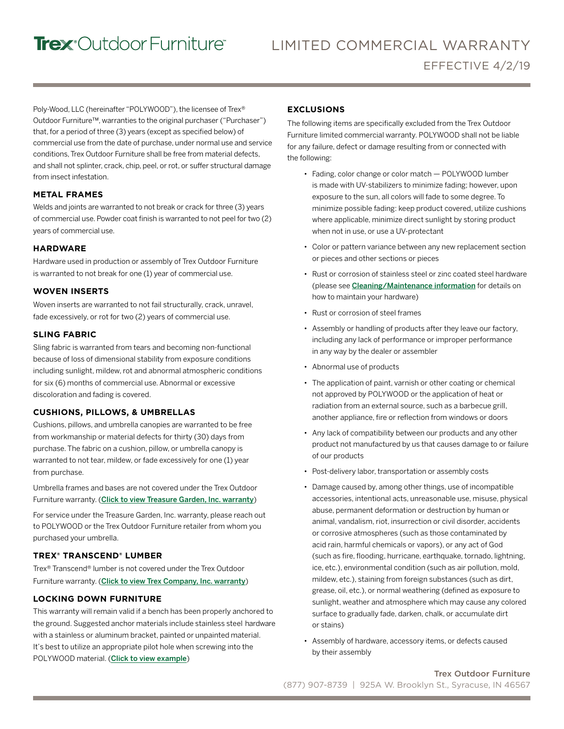# Trex<sup>•</sup>Outdoor Furniture<sup>•</sup>

Poly-Wood, LLC (hereinafter "POLYWOOD"), the licensee of Trex® Outdoor Furniture™, warranties to the original purchaser ("Purchaser") that, for a period of three (3) years (except as specified below) of commercial use from the date of purchase, under normal use and service conditions,Trex Outdoor Furniture shall be free from material defects, and shall not splinter, crack, chip, peel, or rot, or suffer structural damage from insect infestation.

#### **METAL FRAMES**

Welds and joints are warranted to not break or crack for three (3) years of commercial use. Powder coat finish is warranted to not peel for two (2) years of commercial use.

### **HARDWARE**

Hardware used in production or assembly of Trex Outdoor Furniture is warranted to not break for one (1) year of commercial use.

#### **WOVEN INSERTS**

Woven inserts are warranted to not fail structurally, crack, unravel, fade excessively, or rot for two (2) years of commercial use.

### **SLING FABRIC**

Sling fabric is warranted from tears and becoming non-functional because of loss of dimensional stability from exposure conditions including sunlight, mildew, rot and abnormal atmospheric conditions for six (6) months of commercial use. Abnormal or excessive discoloration and fading is covered.

# **CUSHIONS, PILLOWS, & UMBRELLAS**

Cushions, pillows, and umbrella canopies are warranted to be free from workmanship or material defects for thirty (30) days from purchase. The fabric on a cushion, pillow, or umbrella canopy is warranted to not tear, mildew, or fade excessively for one (1) year from purchase.

Umbrella frames and bases are not covered under the Trex Outdoor Furniture warranty. ([Click to view Treasure Garden, Inc. warranty](http://treasuregarden.com/info/118/Customer_Support.html))

For service under the Treasure Garden, Inc. warranty, please reach out to POLYWOOD or the Trex Outdoor Furniture retailer from whom you purchased your umbrella.

# **TREX® TRANSCEND® LUMBER**

Trex® Transcend® lumber is not covered under the Trex Outdoor Furniture warranty. ([Click to view Trex Company, Inc. warranty](https://www.trex.com/trex-owners/warranty/))

# **LOCKING DOWN FURNITURE**

This warranty will remain valid if a bench has been properly anchored to the ground. Suggested anchor materials include stainless steel hardware with a stainless or aluminum bracket, painted or unpainted material. It's best to utilize an appropriate pilot hole when screwing into the POLYWOOD material. ([Click to view example](https://cdn.polywoodoutdoor.com/image/upload/s--x9RtlRoV--/lcwmfhhmidrlzjtqphxm))

#### **EXCLUSIONS**

The following items are specifically excluded from the Trex Outdoor Furniture limited commercial warranty. POLYWOOD shall not be liable for any failure, defect or damage resulting from or connected with the following:

- Fading, color change or color match POLYWOOD lumber is made with UV-stabilizers to minimize fading; however, upon exposure to the sun, all colors will fade to some degree. To minimize possible fading: keep product covered, utilize cushions where applicable, minimize direct sunlight by storing product when not in use, or use a UV-protectant
- Color or pattern variance between any new replacement section or pieces and other sections or pieces
- Rust or corrosion of stainless steel or zinc coated steel hardware (please see [Cleaning/Maintenance information](https://www.trexfurniture.com/learn-more/product-care.html) for details on how to maintain your hardware)
- Rust or corrosion of steel frames
- Assembly or handling of products after they leave our factory, including any lack of performance or improper performance in any way by the dealer or assembler
- Abnormal use of products
- The application of paint, varnish or other coating or chemical not approved by POLYWOOD or the application of heat or radiation from an external source, such as a barbecue grill, another appliance, fire or reflection from windows or doors
- Any lack of compatibility between our products and any other product not manufactured by us that causes damage to or failure of our products
- Post-delivery labor, transportation or assembly costs
- Damage caused by, among other things, use of incompatible accessories, intentional acts, unreasonable use, misuse, physical abuse, permanent deformation or destruction by human or animal, vandalism, riot, insurrection or civil disorder, accidents or corrosive atmospheres (such as those contaminated by acid rain, harmful chemicals or vapors), or any act of God (such as fire, flooding, hurricane, earthquake, tornado, lightning, ice, etc.), environmental condition (such as air pollution, mold, mildew, etc.), staining from foreign substances (such as dirt, grease, oil, etc.), or normal weathering (defined as exposure to sunlight, weather and atmosphere which may cause any colored surface to gradually fade, darken, chalk, or accumulate dirt or stains)
- Assembly of hardware, accessory items, or defects caused by their assembly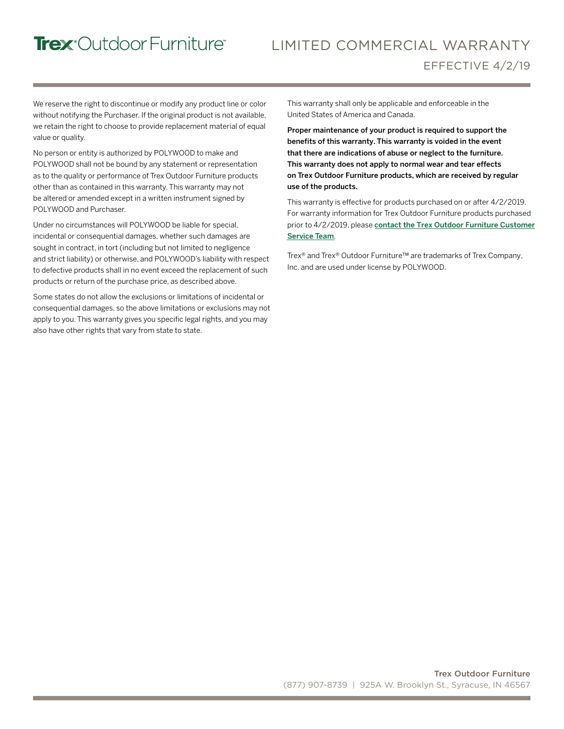# Trex<sup>°</sup>Outdoor Furniture®

# LIMITED COMMERCIAL WARRANTY EFFECTIVE 4/2/19

We reserve the right to discontinue or modify any product line or color without notifying the Purchaser. If the original product is not available, we retain the right to choose to provide replacement material of equal value or quality.

No person or entity is authorized by POLYWOOD to make and POLYWOOD shall not be bound by any statement or representation as to the quality or performance of Trex Outdoor Furniture products other than as contained in this warranty. This warranty may not be altered or amended except in a written instrument signed by POLYWOOD and Purchaser.

Under no circumstances will POLYWOOD be liable for special, incidental or consequential damages, whether such damages are sought in contract, in tort (including but not limited to negligence and strict liability) or otherwise, and POLYWOOD's liability with respect to defective products shall in no event exceed the replacement of such products or return of the purchase price, as described above.

Some states do not allow the exclusions or limitations of incidental or consequential damages, so the above limitations or exclusions may not apply to you. This warranty gives you specific legal rights, and you may also have other rights that vary from state to state.

This warranty shall only be applicable and enforceable in the United States of America and Canada.

Proper maintenance of your product is required to support the benefits of this warranty. This warranty is voided in the event that there are indications of abuse or neglect to the furniture. This warranty does not apply to normal wear and tear effects on Trex Outdoor Furniture products, which are received by regular use of the products.

This warranty is effective for products purchased on or after 4/2/2019. For warranty information for Trex Outdoor Furniture products purchased prior to 4/2/2019, please contact [the Trex Outdoor Furniture](https://www.trexfurniture.com/customer-service/contact-us.html) Customer Service Team.

Trex® and Trex® Outdoor Furniture™ are trademarks of Trex Company, Inc. and are used under license by POLYWOOD.